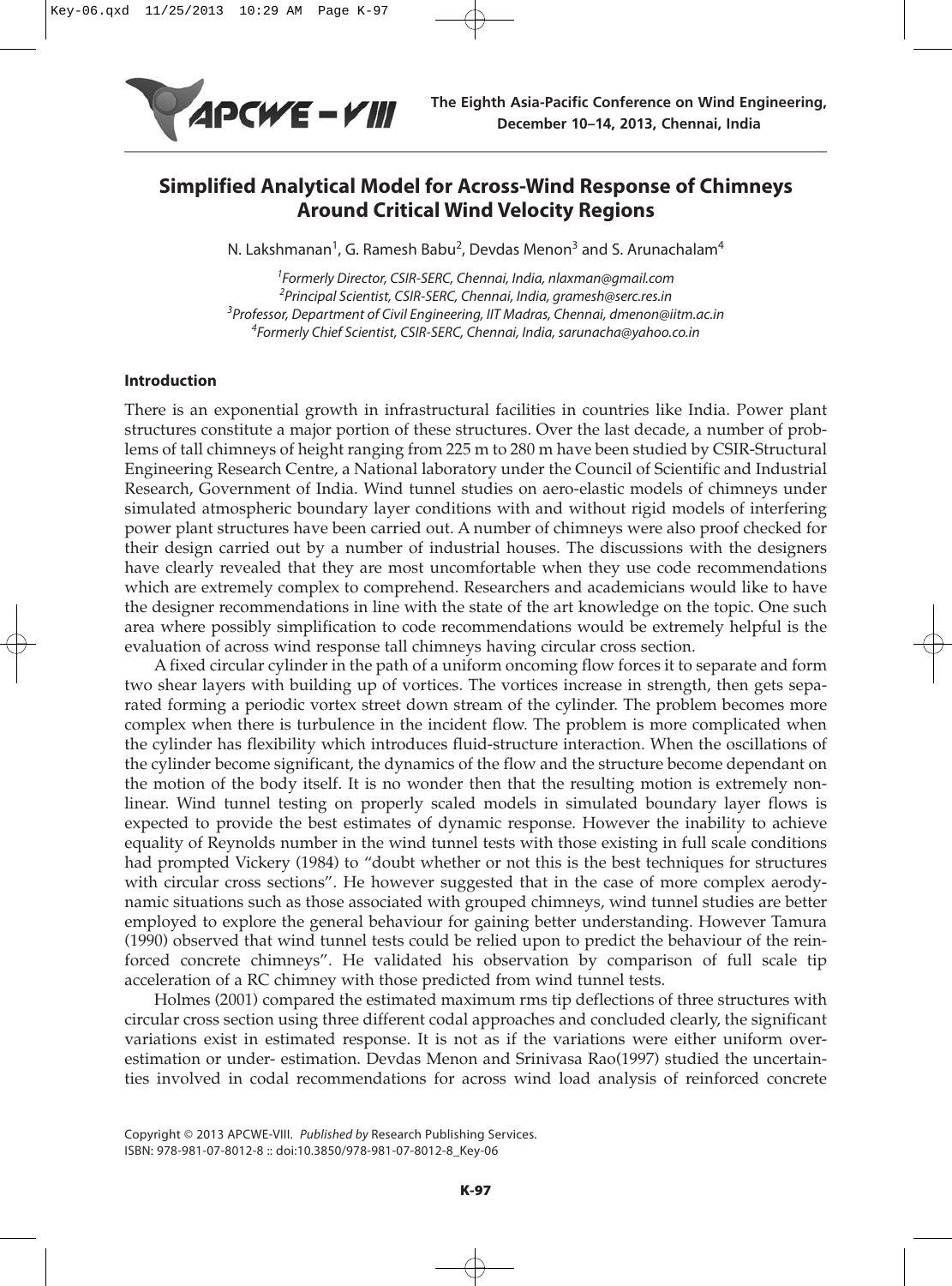

# **Simplified Analytical Model for Across-Wind Response of Chimneys Around Critical Wind Velocity Regions**

N. Lakshmanan<sup>1</sup>, G. Ramesh Babu<sup>2</sup>, Devdas Menon<sup>3</sup> and S. Arunachalam<sup>4</sup>

 Formerly Director, CSIR-SERC, Chennai, India, nlaxman@gmail.com Principal Scientist, CSIR-SERC, Chennai, India, gramesh@serc.res.in <sup>3</sup>Professor, Department of Civil Engineering, IIT Madras, Chennai, dmenon@iitm.ac.in Formerly Chief Scientist, CSIR-SERC, Chennai, India, sarunacha@yahoo.co.in

## **Introduction**

There is an exponential growth in infrastructural facilities in countries like India. Power plant structures constitute a major portion of these structures. Over the last decade, a number of problems of tall chimneys of height ranging from 225 m to 280 m have been studied by CSIR-Structural Engineering Research Centre, a National laboratory under the Council of Scientific and Industrial Research, Government of India. Wind tunnel studies on aero-elastic models of chimneys under simulated atmospheric boundary layer conditions with and without rigid models of interfering power plant structures have been carried out. A number of chimneys were also proof checked for their design carried out by a number of industrial houses. The discussions with the designers have clearly revealed that they are most uncomfortable when they use code recommendations which are extremely complex to comprehend. Researchers and academicians would like to have the designer recommendations in line with the state of the art knowledge on the topic. One such area where possibly simplification to code recommendations would be extremely helpful is the evaluation of across wind response tall chimneys having circular cross section.

A fixed circular cylinder in the path of a uniform oncoming flow forces it to separate and form two shear layers with building up of vortices. The vortices increase in strength, then gets separated forming a periodic vortex street down stream of the cylinder. The problem becomes more complex when there is turbulence in the incident flow. The problem is more complicated when the cylinder has flexibility which introduces fluid-structure interaction. When the oscillations of the cylinder become significant, the dynamics of the flow and the structure become dependant on the motion of the body itself. It is no wonder then that the resulting motion is extremely nonlinear. Wind tunnel testing on properly scaled models in simulated boundary layer flows is expected to provide the best estimates of dynamic response. However the inability to achieve equality of Reynolds number in the wind tunnel tests with those existing in full scale conditions had prompted Vickery (1984) to "doubt whether or not this is the best techniques for structures with circular cross sections". He however suggested that in the case of more complex aerodynamic situations such as those associated with grouped chimneys, wind tunnel studies are better employed to explore the general behaviour for gaining better understanding. However Tamura (1990) observed that wind tunnel tests could be relied upon to predict the behaviour of the reinforced concrete chimneys". He validated his observation by comparison of full scale tip acceleration of a RC chimney with those predicted from wind tunnel tests.

Holmes (2001) compared the estimated maximum rms tip deflections of three structures with circular cross section using three different codal approaches and concluded clearly, the significant variations exist in estimated response. It is not as if the variations were either uniform overestimation or under- estimation. Devdas Menon and Srinivasa Rao(1997) studied the uncertainties involved in codal recommendations for across wind load analysis of reinforced concrete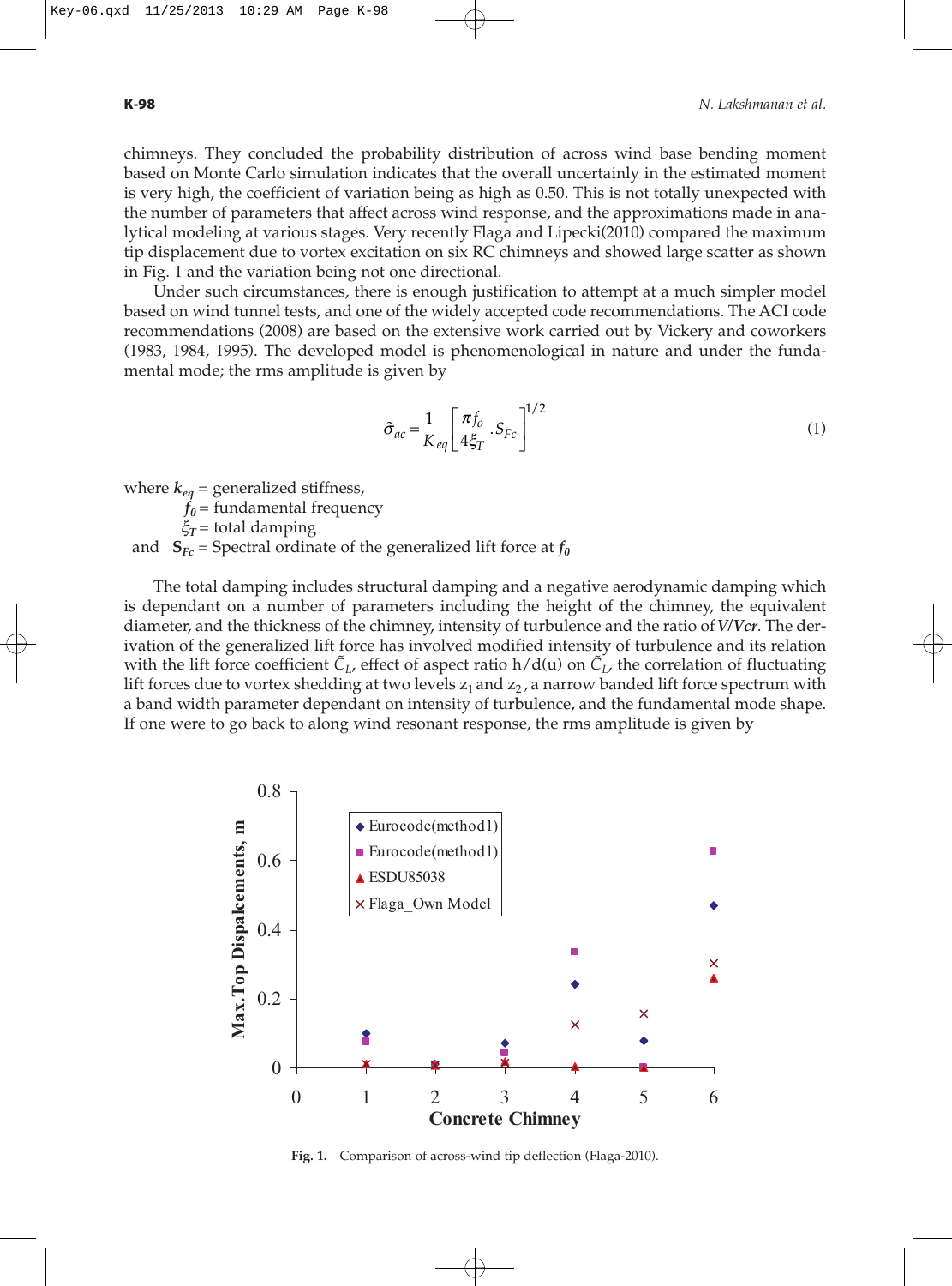chimneys. They concluded the probability distribution of across wind base bending moment based on Monte Carlo simulation indicates that the overall uncertainly in the estimated moment is very high, the coefficient of variation being as high as 0.50. This is not totally unexpected with the number of parameters that affect across wind response, and the approximations made in analytical modeling at various stages. Very recently Flaga and Lipecki(2010) compared the maximum tip displacement due to vortex excitation on six RC chimneys and showed large scatter as shown in Fig. 1 and the variation being not one directional.

Under such circumstances, there is enough justification to attempt at a much simpler model based on wind tunnel tests, and one of the widely accepted code recommendations. The ACI code recommendations (2008) are based on the extensive work carried out by Vickery and coworkers (1983, 1984, 1995). The developed model is phenomenological in nature and under the fundamental mode; the rms amplitude is given by

$$
\tilde{\sigma}_{ac} = \frac{1}{K_{eq}} \left[ \frac{\pi f_o}{4\xi_T} . S_{Fc} \right]^{1/2} \tag{1}
$$

where  $k_{ea}$  = generalized stiffness,

 $f_0$  = fundamental frequency

 $\xi_T$  = total damping

and  $S_{Fc}$  = Spectral ordinate of the generalized lift force at  $f_0$ 

The total damping includes structural damping and a negative aerodynamic damping which is dependant on a number of parameters including the height of the chimney, the equivalent \_ diameter, and the thickness of the chimney, intensity of turbulence and the ratio of *V/Vcr*. The derivation of the generalized lift force has involved modified intensity of turbulence and its relation with the lift force coefficient  $\tilde{C}_L$ , effect of aspect ratio h/d(u) on  $\tilde{C}_L$ , the correlation of fluctuating lift forces due to vortex shedding at two levels  $z_1$  and  $z_2$ , a narrow banded lift force spectrum with a band width parameter dependant on intensity of turbulence, and the fundamental mode shape. If one were to go back to along wind resonant response, the rms amplitude is given by



**Fig. 1.** Comparison of across-wind tip deflection (Flaga-2010).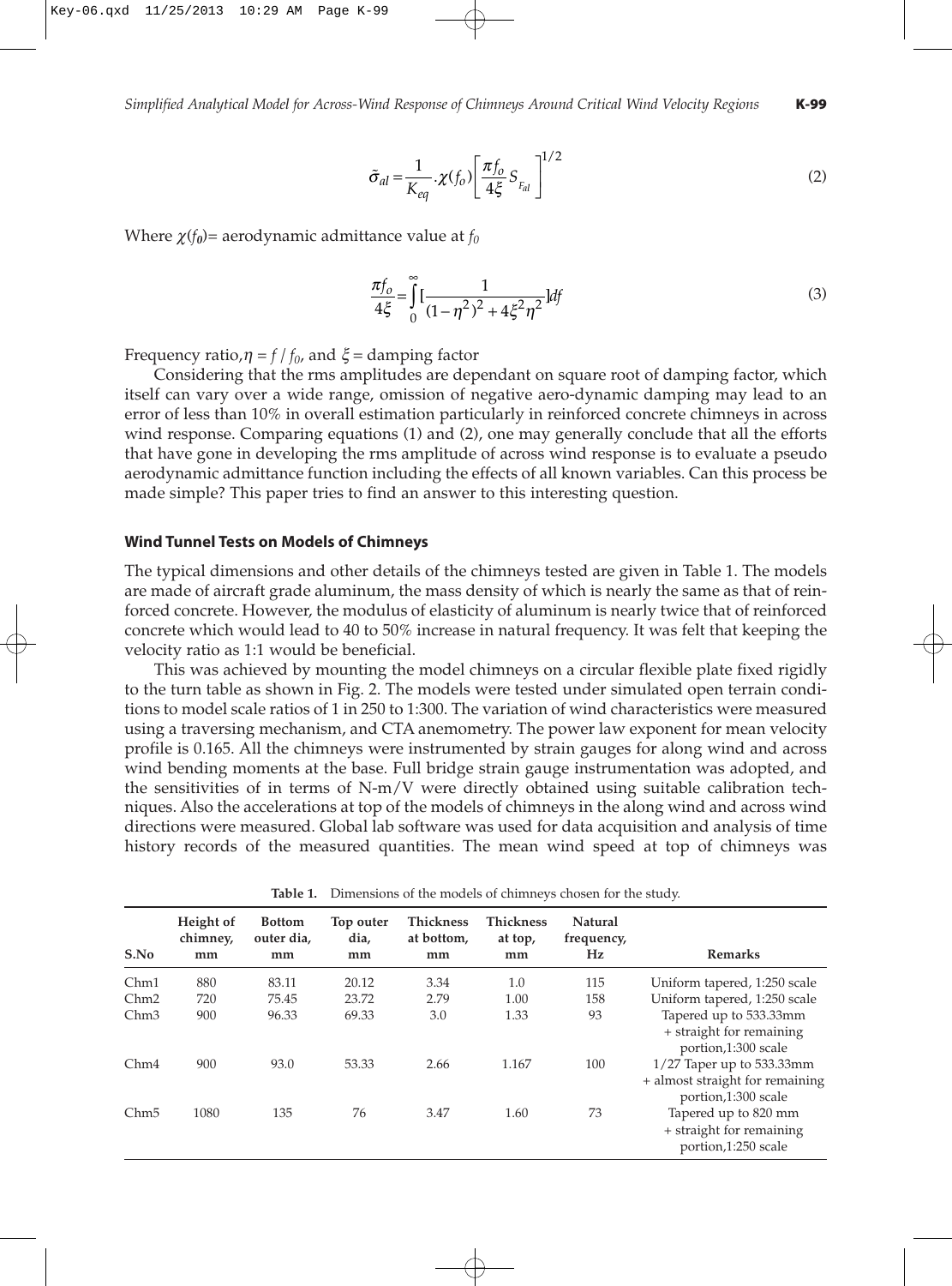$$
\tilde{\sigma}_{al} = \frac{1}{K_{eq}} \cdot \chi(f_o) \left[ \frac{\pi f_o}{4\xi} S_{F_{al}} \right]^{1/2}
$$
\n(2)

Where  $\chi(f_0)$ = aerodynamic admittance value at  $f_0$ 

$$
\frac{\pi f_o}{4\xi} = \int_0^\infty \left[ \frac{1}{(1 - \eta^2)^2 + 4\xi^2 \eta^2} \right] df
$$
\n(3)

Frequency ratio, $\eta = f / f_0$ , and  $\xi =$  damping factor

Considering that the rms amplitudes are dependant on square root of damping factor, which itself can vary over a wide range, omission of negative aero-dynamic damping may lead to an error of less than 10% in overall estimation particularly in reinforced concrete chimneys in across wind response. Comparing equations (1) and (2), one may generally conclude that all the efforts that have gone in developing the rms amplitude of across wind response is to evaluate a pseudo aerodynamic admittance function including the effects of all known variables. Can this process be made simple? This paper tries to find an answer to this interesting question.

#### **Wind Tunnel Tests on Models of Chimneys**

The typical dimensions and other details of the chimneys tested are given in Table 1. The models are made of aircraft grade aluminum, the mass density of which is nearly the same as that of reinforced concrete. However, the modulus of elasticity of aluminum is nearly twice that of reinforced concrete which would lead to 40 to 50% increase in natural frequency. It was felt that keeping the velocity ratio as 1:1 would be beneficial.

This was achieved by mounting the model chimneys on a circular flexible plate fixed rigidly to the turn table as shown in Fig. 2. The models were tested under simulated open terrain conditions to model scale ratios of 1 in 250 to 1:300. The variation of wind characteristics were measured using a traversing mechanism, and CTA anemometry. The power law exponent for mean velocity profile is 0.165. All the chimneys were instrumented by strain gauges for along wind and across wind bending moments at the base. Full bridge strain gauge instrumentation was adopted, and the sensitivities of in terms of N-m/V were directly obtained using suitable calibration techniques. Also the accelerations at top of the models of chimneys in the along wind and across wind directions were measured. Global lab software was used for data acquisition and analysis of time history records of the measured quantities. The mean wind speed at top of chimneys was

| S.No             | Height of<br>chimney,<br>mm | <b>Bottom</b><br>outer dia,<br>mm | Top outer<br>dia,<br>mm | <b>Thickness</b><br>at bottom,<br>mm | <b>Thickness</b><br>at top,<br>mm | Natural<br>frequency,<br>Hz | <b>Remarks</b>                                                                        |
|------------------|-----------------------------|-----------------------------------|-------------------------|--------------------------------------|-----------------------------------|-----------------------------|---------------------------------------------------------------------------------------|
| Chm1             | 880                         | 83.11                             | 20.12                   | 3.34                                 | 1.0                               | 115                         | Uniform tapered, 1:250 scale                                                          |
| Chm2             | 720                         | 75.45                             | 23.72                   | 2.79                                 | 1.00                              | 158                         | Uniform tapered, 1:250 scale                                                          |
| Chm <sub>3</sub> | 900                         | 96.33                             | 69.33                   | 3.0                                  | 1.33                              | 93                          | Tapered up to 533.33mm<br>+ straight for remaining<br>portion,1:300 scale             |
| Chm4             | 900                         | 93.0                              | 53.33                   | 2.66                                 | 1.167                             | 100                         | $1/27$ Taper up to 533.33mm<br>+ almost straight for remaining<br>portion,1:300 scale |
| Chm <sub>5</sub> | 1080                        | 135                               | 76                      | 3.47                                 | 1.60                              | 73                          | Tapered up to 820 mm<br>+ straight for remaining<br>portion,1:250 scale               |

**Table 1.** Dimensions of the models of chimneys chosen for the study.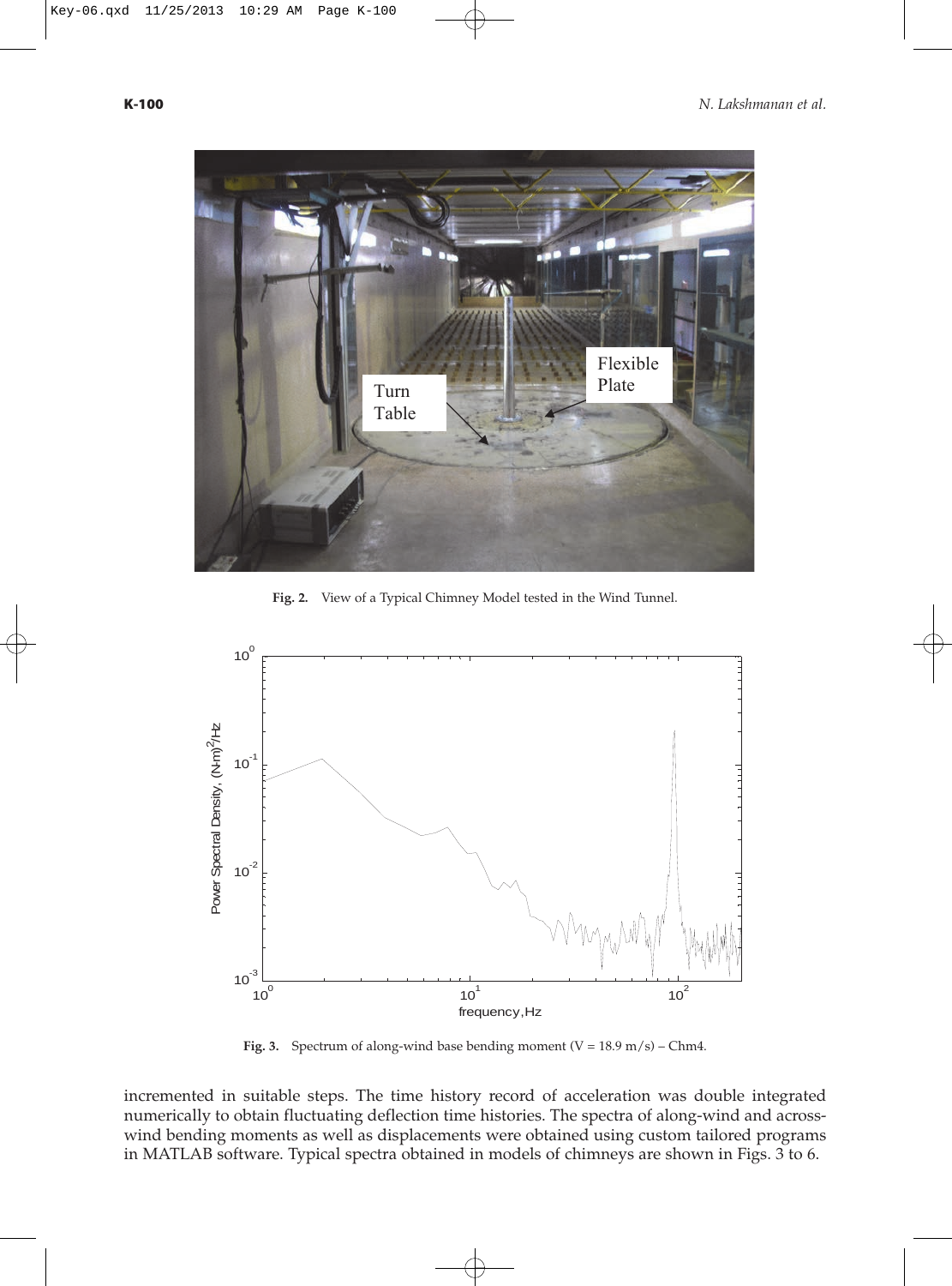

**Fig. 2.** View of a Typical Chimney Model tested in the Wind Tunnel.



**Fig. 3.** Spectrum of along-wind base bending moment  $(V = 18.9 \text{ m/s}) - \text{Chm4}$ .

incremented in suitable steps. The time history record of acceleration was double integrated numerically to obtain fluctuating deflection time histories. The spectra of along-wind and acrosswind bending moments as well as displacements were obtained using custom tailored programs in MATLAB software. Typical spectra obtained in models of chimneys are shown in Figs. 3 to 6.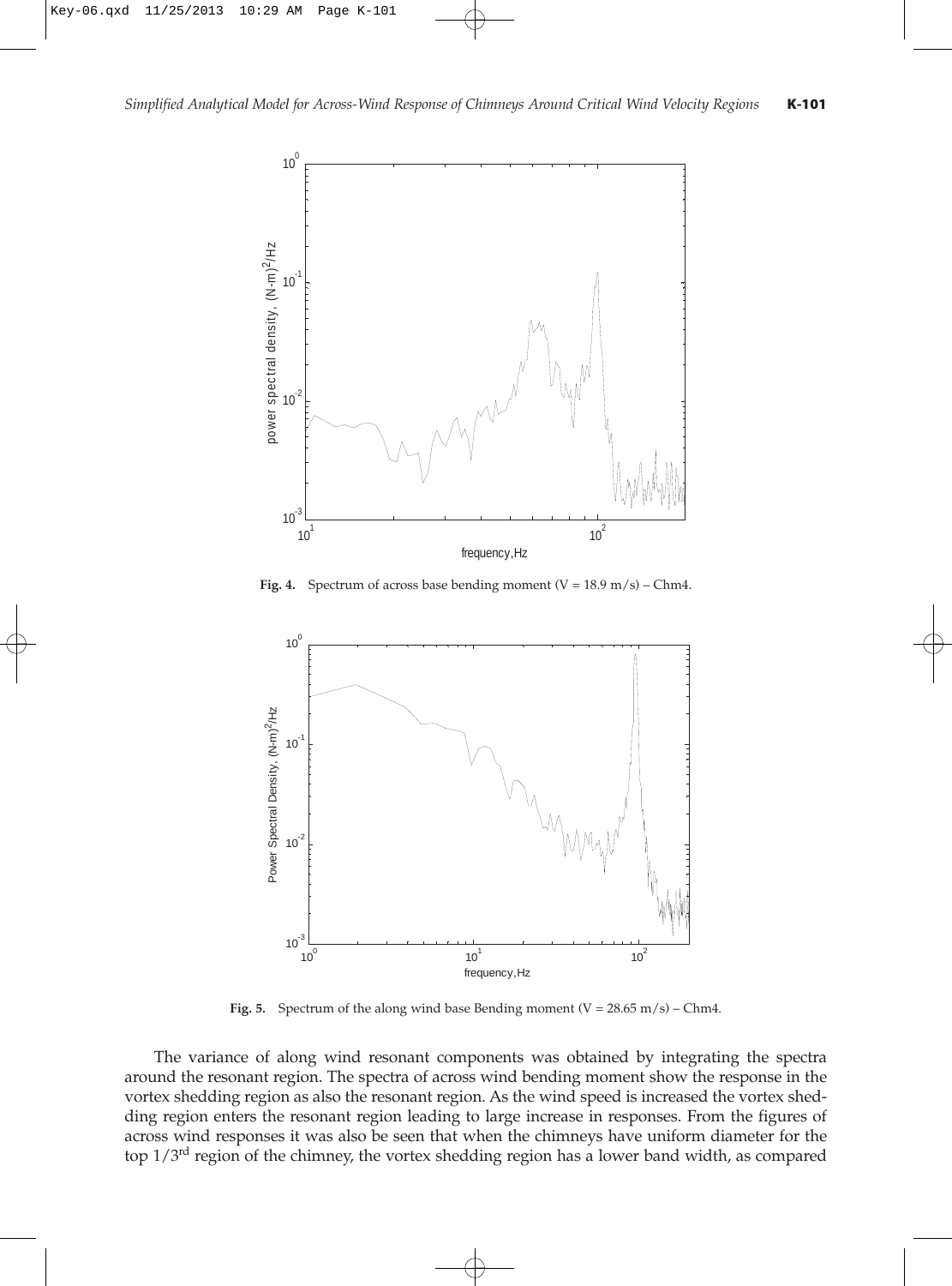

**Fig. 4.** Spectrum of across base bending moment  $(V = 18.9 \text{ m/s})$  – Chm4.



**Fig. 5.** Spectrum of the along wind base Bending moment  $(V = 28.65 \text{ m/s}) - \text{Chm4}$ .

The variance of along wind resonant components was obtained by integrating the spectra around the resonant region. The spectra of across wind bending moment show the response in the vortex shedding region as also the resonant region. As the wind speed is increased the vortex shedding region enters the resonant region leading to large increase in responses. From the figures of across wind responses it was also be seen that when the chimneys have uniform diameter for the top  $1/3<sup>rd</sup>$  region of the chimney, the vortex shedding region has a lower band width, as compared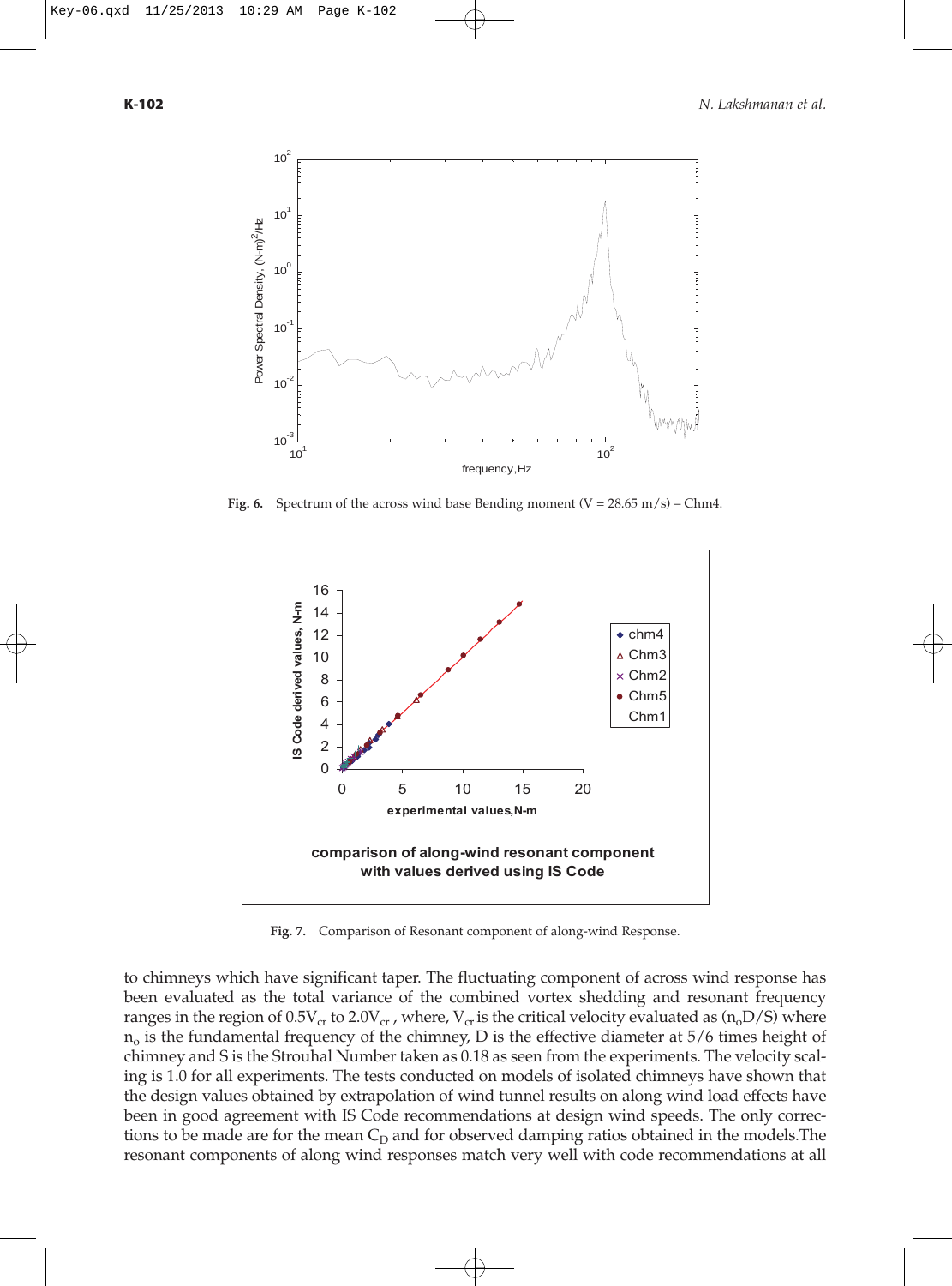

**Fig. 6.** Spectrum of the across wind base Bending moment  $(V = 28.65 \text{ m/s})$  – Chm4.



**Fig. 7.** Comparison of Resonant component of along-wind Response.

to chimneys which have significant taper. The fluctuating component of across wind response has been evaluated as the total variance of the combined vortex shedding and resonant frequency ranges in the region of  $0.5V_{cr}$  to  $2.0V_{cr}$ , where,  $V_{cr}$  is the critical velocity evaluated as  $(n_0D/S)$  where  $n<sub>o</sub>$  is the fundamental frequency of the chimney, D is the effective diameter at 5/6 times height of chimney and S is the Strouhal Number taken as 0.18 as seen from the experiments. The velocity scaling is 1.0 for all experiments. The tests conducted on models of isolated chimneys have shown that the design values obtained by extrapolation of wind tunnel results on along wind load effects have been in good agreement with IS Code recommendations at design wind speeds. The only corrections to be made are for the mean  $C_D$  and for observed damping ratios obtained in the models. The resonant components of along wind responses match very well with code recommendations at all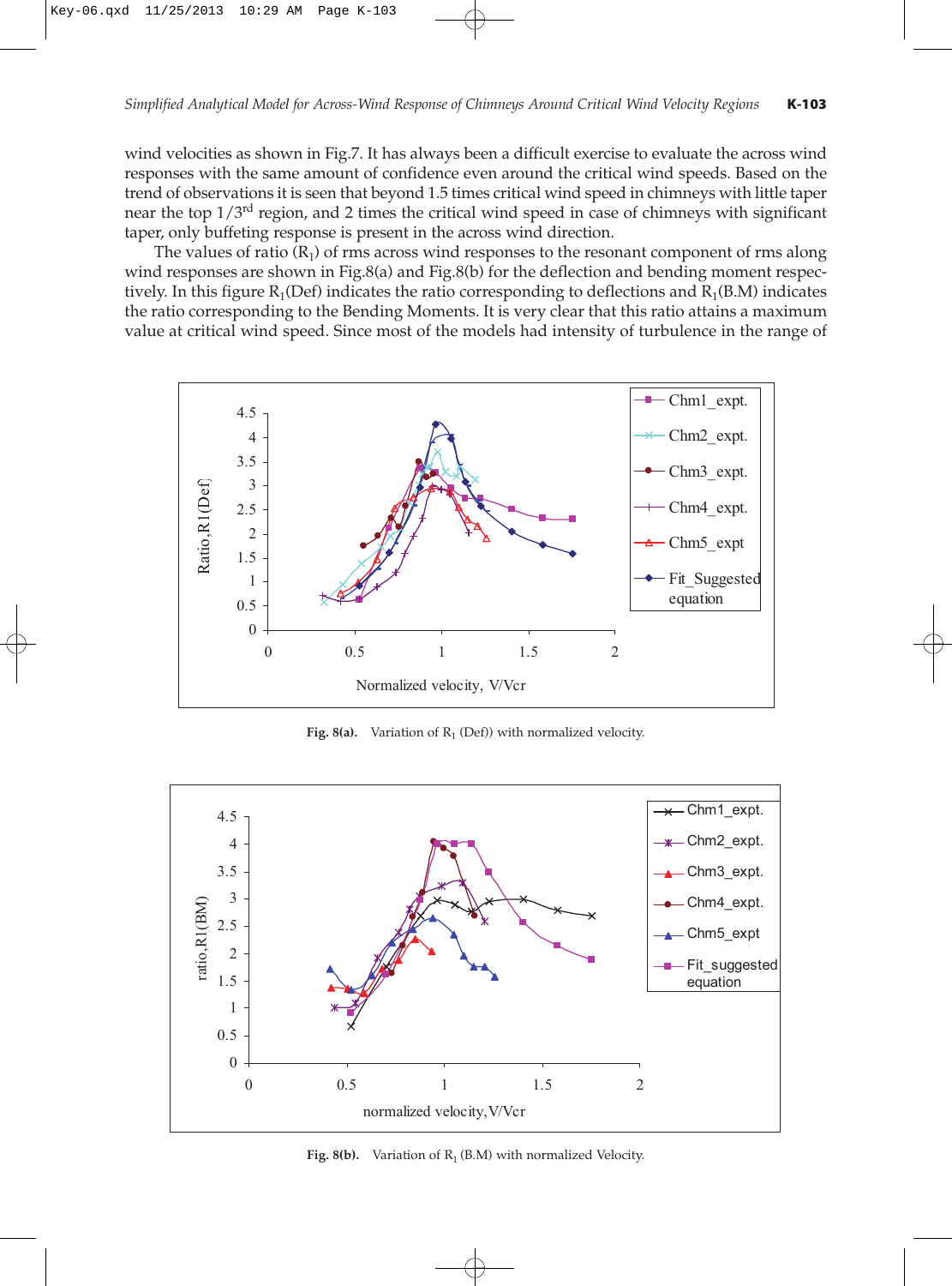wind velocities as shown in Fig.7. It has always been a difficult exercise to evaluate the across wind responses with the same amount of confidence even around the critical wind speeds. Based on the trend of observations it is seen that beyond 1.5 times critical wind speed in chimneys with little taper near the top  $1/3<sup>rd</sup>$  region, and 2 times the critical wind speed in case of chimneys with significant taper, only buffeting response is present in the across wind direction.

The values of ratio  $(R_1)$  of rms across wind responses to the resonant component of rms along wind responses are shown in Fig.8(a) and Fig.8(b) for the deflection and bending moment respectively. In this figure  $R_1(Def)$  indicates the ratio corresponding to deflections and  $R_1(B.M)$  indicates the ratio corresponding to the Bending Moments. It is very clear that this ratio attains a maximum value at critical wind speed. Since most of the models had intensity of turbulence in the range of



Fig. 8(a). Variation of  $R_1$  (Def)) with normalized velocity.



Fig.  $8(b)$ . Variation of  $R_1$  (B.M) with normalized Velocity.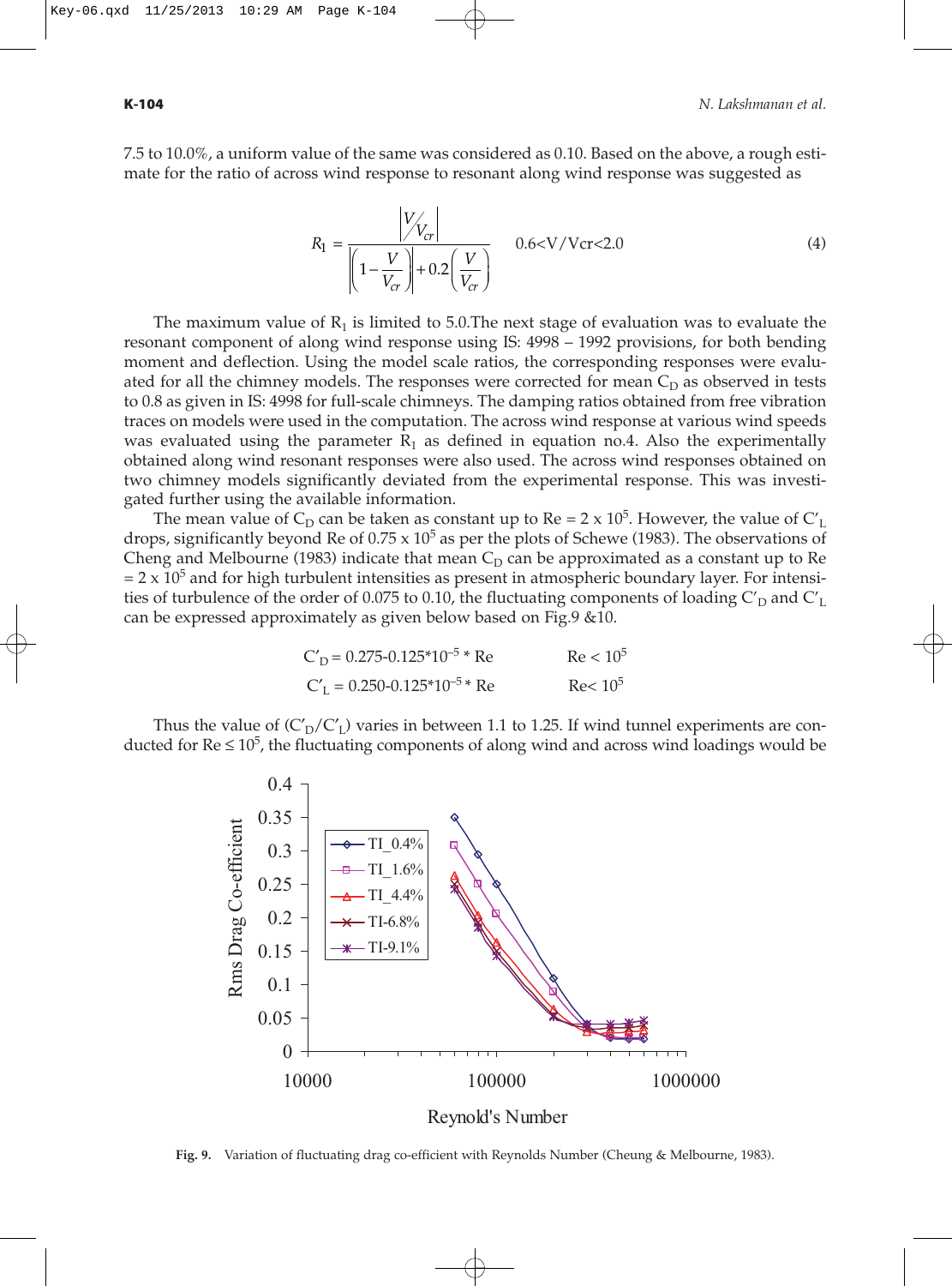7.5 to 10.0%, a uniform value of the same was considered as 0.10. Based on the above, a rough estimate for the ratio of across wind response to resonant along wind response was suggested as

$$
R_1 = \frac{|V_{V_{cr}}|}{\left(1 - \frac{V}{V_{cr}}\right) + 0.2\left(\frac{V}{V_{cr}}\right)}
$$
 0.6< V/Vcr < 2.0 (4)

The maximum value of  $R_1$  is limited to 5.0. The next stage of evaluation was to evaluate the resonant component of along wind response using IS: 4998 – 1992 provisions, for both bending moment and deflection. Using the model scale ratios, the corresponding responses were evaluated for all the chimney models. The responses were corrected for mean  $C<sub>D</sub>$  as observed in tests to 0.8 as given in IS: 4998 for full-scale chimneys. The damping ratios obtained from free vibration traces on models were used in the computation. The across wind response at various wind speeds was evaluated using the parameter  $R_1$  as defined in equation no.4. Also the experimentally obtained along wind resonant responses were also used. The across wind responses obtained on two chimney models significantly deviated from the experimental response. This was investigated further using the available information.

The mean value of  $C_D$  can be taken as constant up to Re = 2 x 10<sup>5</sup>. However, the value of  $C_L$ drops, significantly beyond Re of  $0.75 \times 10^5$  as per the plots of Schewe (1983). The observations of Cheng and Melbourne (1983) indicate that mean  $C<sub>D</sub>$  can be approximated as a constant up to Re  $= 2 \times 10^{5}$  and for high turbulent intensities as present in atmospheric boundary layer. For intensities of turbulence of the order of 0.075 to 0.10, the fluctuating components of loading  $C_D'$  and  $C_L'$ can be expressed approximately as given below based on Fig.9 &10.

| $C_D' = 0.275 - 0.125 \times 10^{-5}$ * Re | $Re < 10^5$ |
|--------------------------------------------|-------------|
| $C_L' = 0.250 - 0.125*10^{-5}$ Re          | $Re< 10^5$  |

Thus the value of  $(C_D/C_I)$  varies in between 1.1 to 1.25. If wind tunnel experiments are conducted for  $\text{Re} \leq 10^5$ , the fluctuating components of along wind and across wind loadings would be



**Fig. 9.** Variation of fluctuating drag co-efficient with Reynolds Number (Cheung & Melbourne, 1983).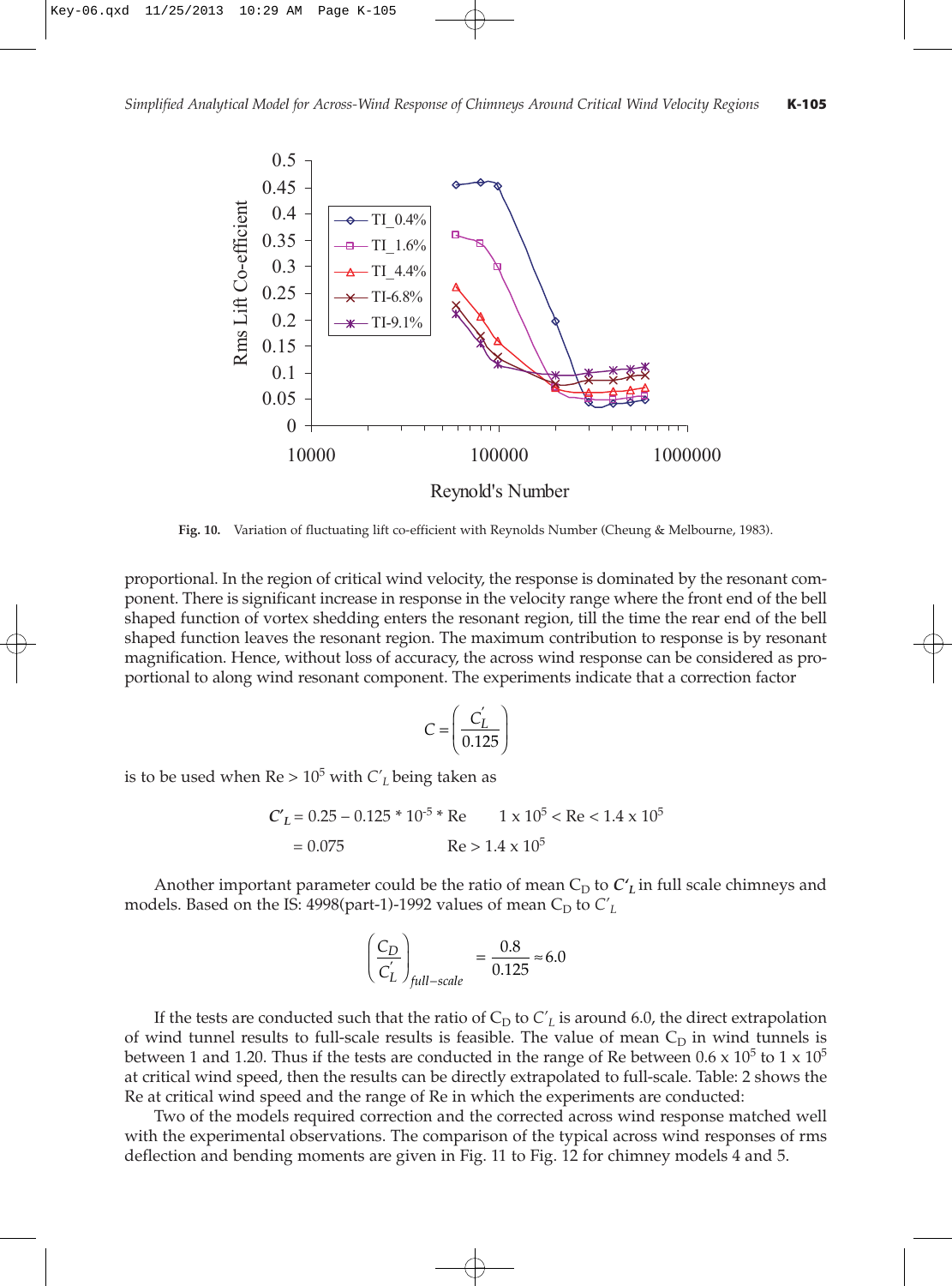

**Fig. 10.** Variation of fluctuating lift co-efficient with Reynolds Number (Cheung & Melbourne, 1983).

proportional. In the region of critical wind velocity, the response is dominated by the resonant component. There is significant increase in response in the velocity range where the front end of the bell shaped function of vortex shedding enters the resonant region, till the time the rear end of the bell shaped function leaves the resonant region. The maximum contribution to response is by resonant magnification. Hence, without loss of accuracy, the across wind response can be considered as proportional to along wind resonant component. The experiments indicate that a correction factor

$$
C = \left(\frac{C_L'}{0.125}\right)
$$

is to be used when  $Re > 10^5$  with  $C'_L$  being taken as

$$
C'_L = 0.25 - 0.125 * 10^{-5} * Re \t 1 \times 10^5 < Re < 1.4 \times 10^5
$$
  
= 0.075 \t Re > 1.4 × 10<sup>5</sup>

Another important parameter could be the ratio of mean  $C_D$  to  $C'_L$  in full scale chimneys and models. Based on the IS:  $4998$ (part-1)-1992 values of mean  $C_D$  to  $C'_L$ 

$$
\left(\frac{C_D}{C_L'}\right)_{full-scale} = \frac{0.8}{0.125} \approx 6.0
$$

If the tests are conducted such that the ratio of  $C_D$  to  $C'_L$  is around 6.0, the direct extrapolation of wind tunnel results to full-scale results is feasible. The value of mean  $C_D$  in wind tunnels is between 1 and 1.20. Thus if the tests are conducted in the range of Re between 0.6 x  $10^5$  to 1 x  $10^5$ at critical wind speed, then the results can be directly extrapolated to full-scale. Table: 2 shows the Re at critical wind speed and the range of Re in which the experiments are conducted:

Two of the models required correction and the corrected across wind response matched well with the experimental observations. The comparison of the typical across wind responses of rms deflection and bending moments are given in Fig. 11 to Fig. 12 for chimney models 4 and 5.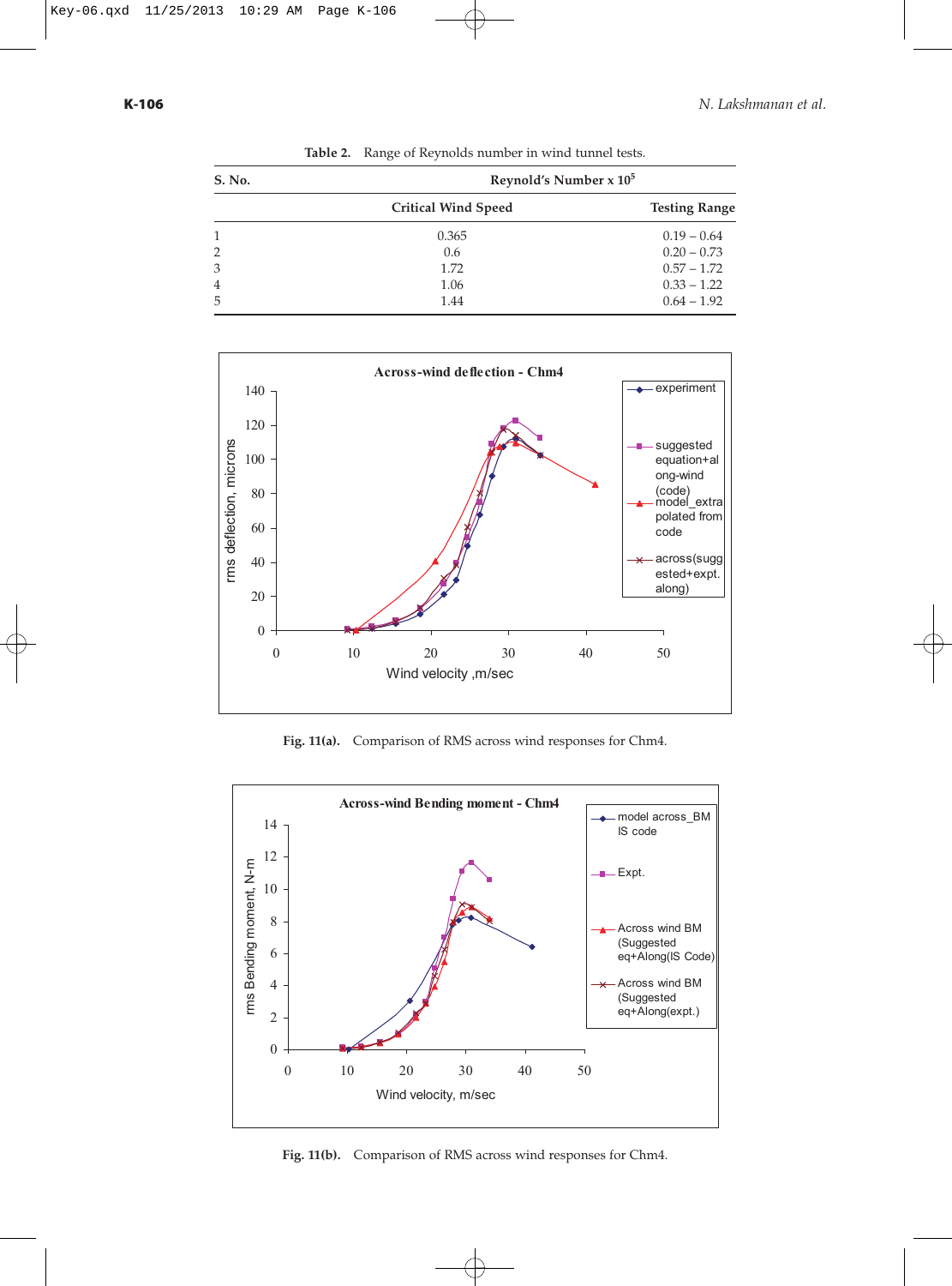| S. No. | Reynold's Number $x$ $105$ |                      |
|--------|----------------------------|----------------------|
|        | <b>Critical Wind Speed</b> | <b>Testing Range</b> |
| 1      | 0.365                      | $0.19 - 0.64$        |
| 2      | 0.6                        | $0.20 - 0.73$        |
| 3      | 1.72                       | $0.57 - 1.72$        |
| 4      | 1.06                       | $0.33 - 1.22$        |
| 5      | 1.44                       | $0.64 - 1.92$        |

**Table 2.** Range of Reynolds number in wind tunnel tests.



**Fig. 11(a).** Comparison of RMS across wind responses for Chm4.



**Fig. 11(b).** Comparison of RMS across wind responses for Chm4.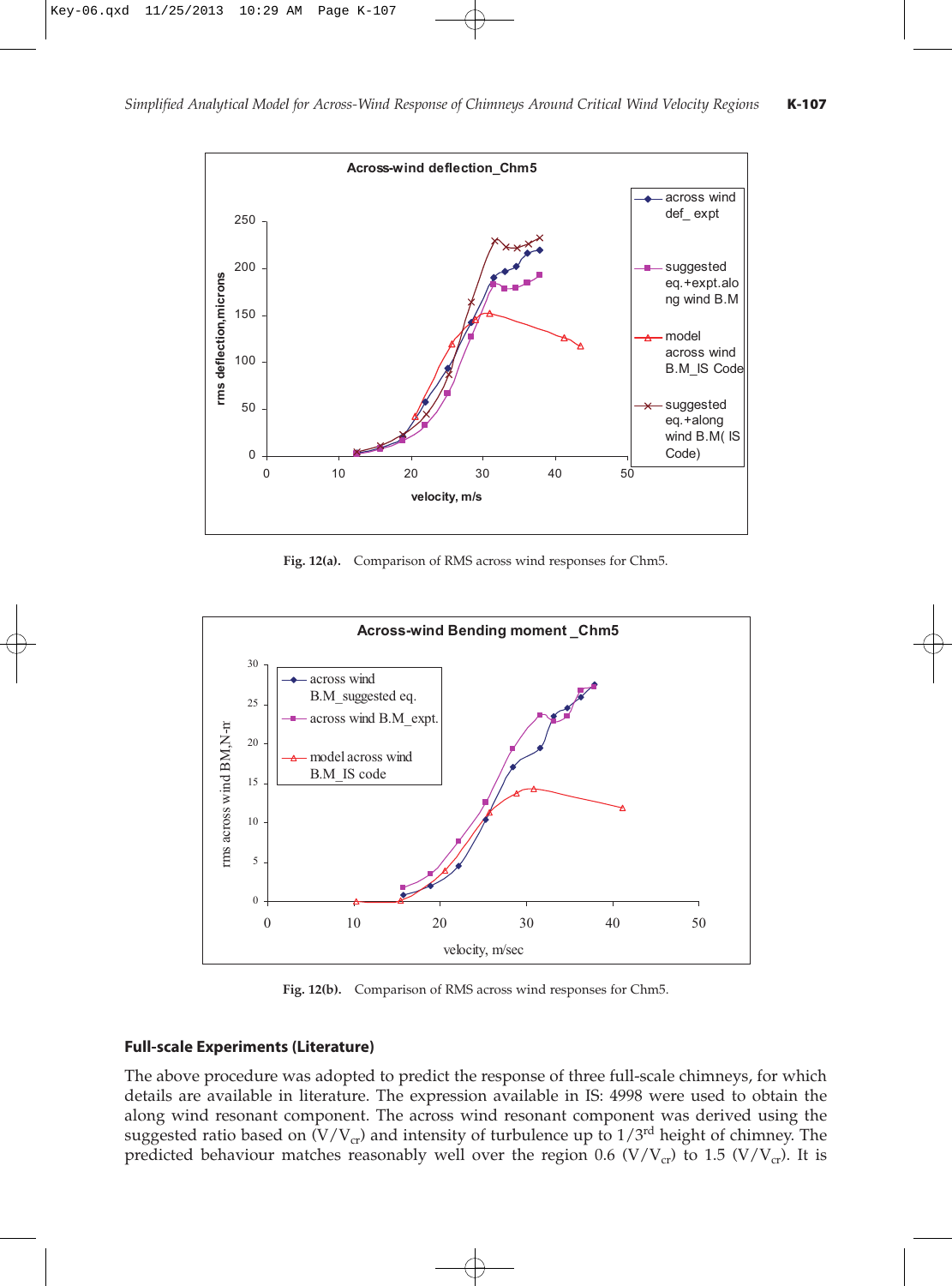

**Fig. 12(a).** Comparison of RMS across wind responses for Chm5.



**Fig. 12(b).** Comparison of RMS across wind responses for Chm5.

## **Full-scale Experiments (Literature)**

The above procedure was adopted to predict the response of three full-scale chimneys, for which details are available in literature. The expression available in IS: 4998 were used to obtain the along wind resonant component. The across wind resonant component was derived using the suggested ratio based on  $(V/V_{cr})$  and intensity of turbulence up to  $1/3^{rd}$  height of chimney. The predicted behaviour matches reasonably well over the region 0.6 (V/V<sub>cr</sub>) to 1.5 (V/V<sub>cr</sub>). It is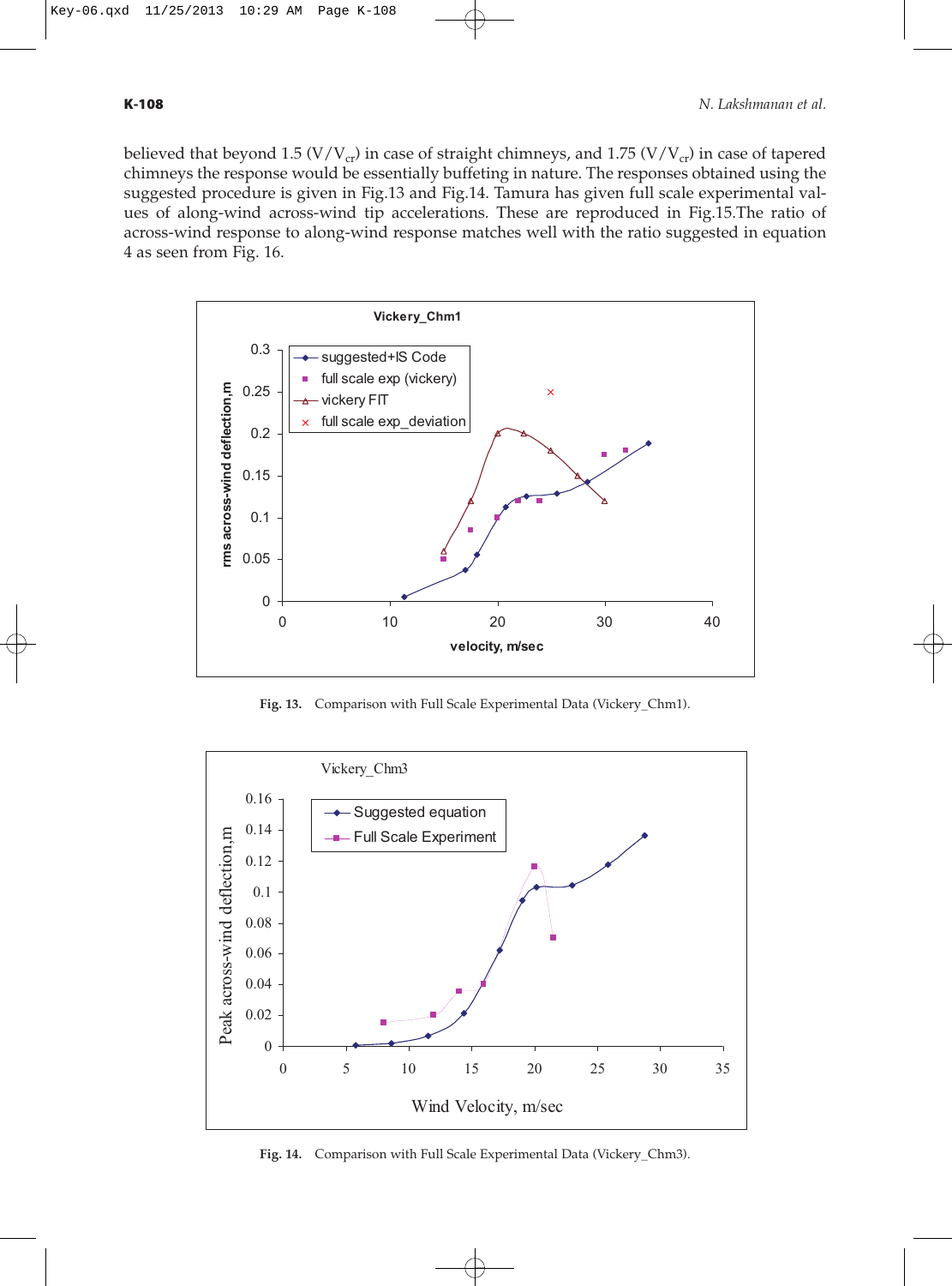

**Fig. 13.** Comparison with Full Scale Experimental Data (Vickery\_Chm1).



**Fig. 14.** Comparison with Full Scale Experimental Data (Vickery\_Chm3).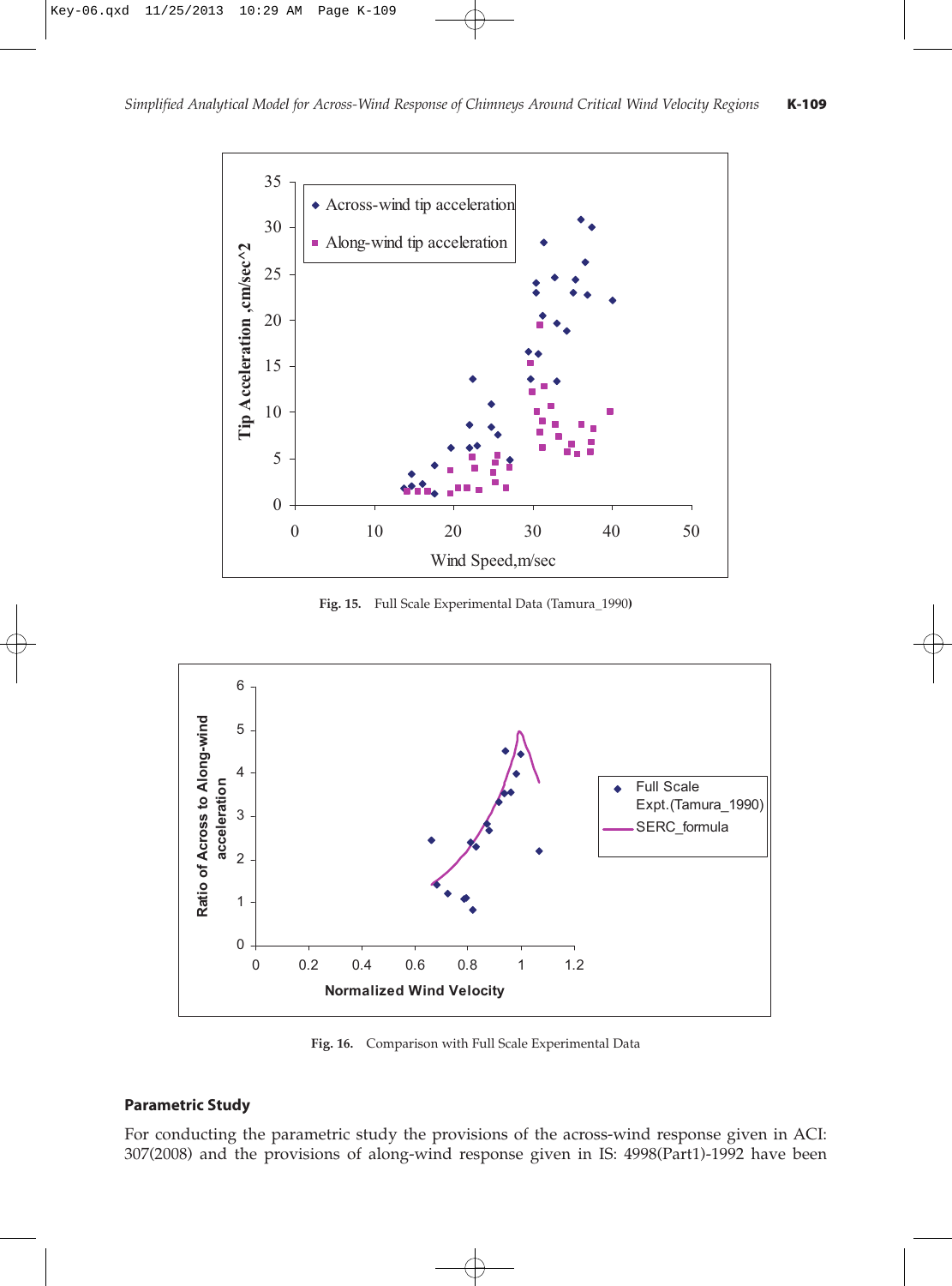

**Fig. 15.** Full Scale Experimental Data (Tamura\_1990**)**



**Fig. 16.** Comparison with Full Scale Experimental Data

# **Parametric Study**

For conducting the parametric study the provisions of the across-wind response given in ACI: 307(2008) and the provisions of along-wind response given in IS: 4998(Part1)-1992 have been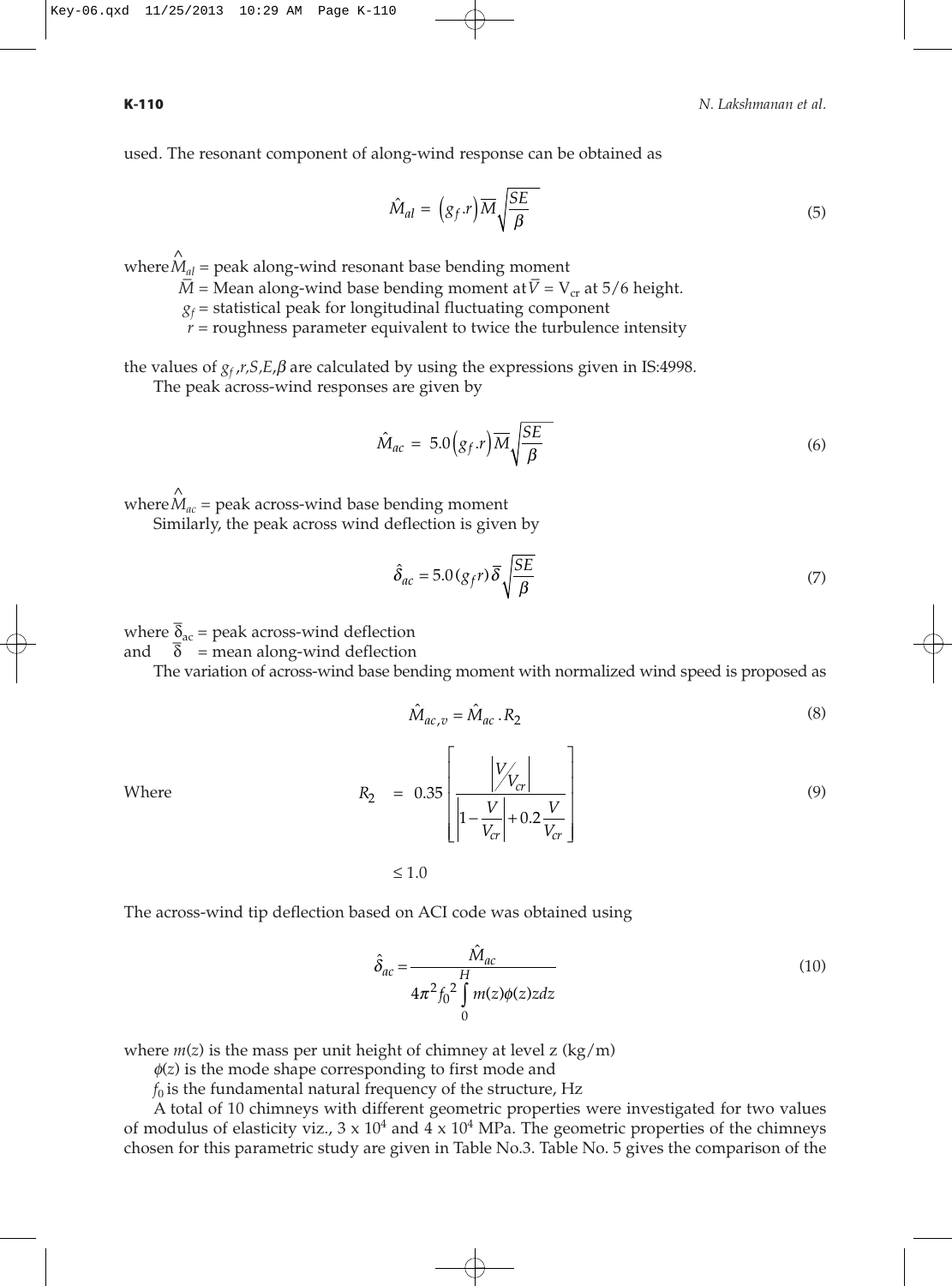used. The resonant component of along-wind response can be obtained as

$$
\hat{M}_{al} = (g_f.r)\overline{M}\sqrt{\frac{SE}{\beta}}
$$
\n(5)

where  $\hat{M}_{al}$  = peak along-wind resonant base bending moment

*M* = Mean along-wind base bending moment at  $\overline{V} = V_{cr}$  at 5/6 height.

 $g_f$  = statistical peak for longitudinal fluctuating component

 $r =$  roughness parameter equivalent to twice the turbulence intensity

the values of  $g_f$ ,*r*,*S*, $E$ , $\beta$  are calculated by using the expressions given in IS:4998.

The peak across-wind responses are given by

$$
\hat{M}_{ac} = 5.0(g_f.r)\overline{M}\sqrt{\frac{SE}{\beta}}
$$
\n(6)

where  $\hat{M}_{ac}$  = peak across-wind base bending moment

Similarly, the peak across wind deflection is given by

$$
\hat{\delta}_{ac} = 5.0 \left( g_f r \right) \overline{\delta} \sqrt{\frac{SE}{\beta}}
$$
\n<sup>(7)</sup>

where  $\overline{\delta}_{\text{ac}}$  = peak across-wind deflection and  $\delta$  = mean along-wind deflection

The variation of across-wind base bending moment with normalized wind speed is proposed as

$$
\hat{M}_{ac,v} = \hat{M}_{ac} \cdot R_2 \tag{8}
$$

Where 
$$
R_2 = 0.35 \left[ \frac{|V_{V_{cr}}|}{|1 - \frac{V}{V_{cr}}| + 0.2 \frac{V}{V_{cr}}} \right]
$$
 (9)

≤ 1.0

The across-wind tip deflection based on ACI code was obtained using

$$
\hat{\delta}_{ac} = \frac{\hat{M}_{ac}}{4\pi^2 f_0^2 \int\limits_{0}^{H} m(z)\phi(z)zdz}
$$
(10)

where  $m(z)$  is the mass per unit height of chimney at level  $z$  (kg/m)

φ(*z*) is the mode shape corresponding to first mode and

 $f_0$  is the fundamental natural frequency of the structure, Hz

A total of 10 chimneys with different geometric properties were investigated for two values of modulus of elasticity viz.,  $3 \times 10^4$  and  $4 \times 10^4$  MPa. The geometric properties of the chimneys chosen for this parametric study are given in Table No.3. Table No. 5 gives the comparison of the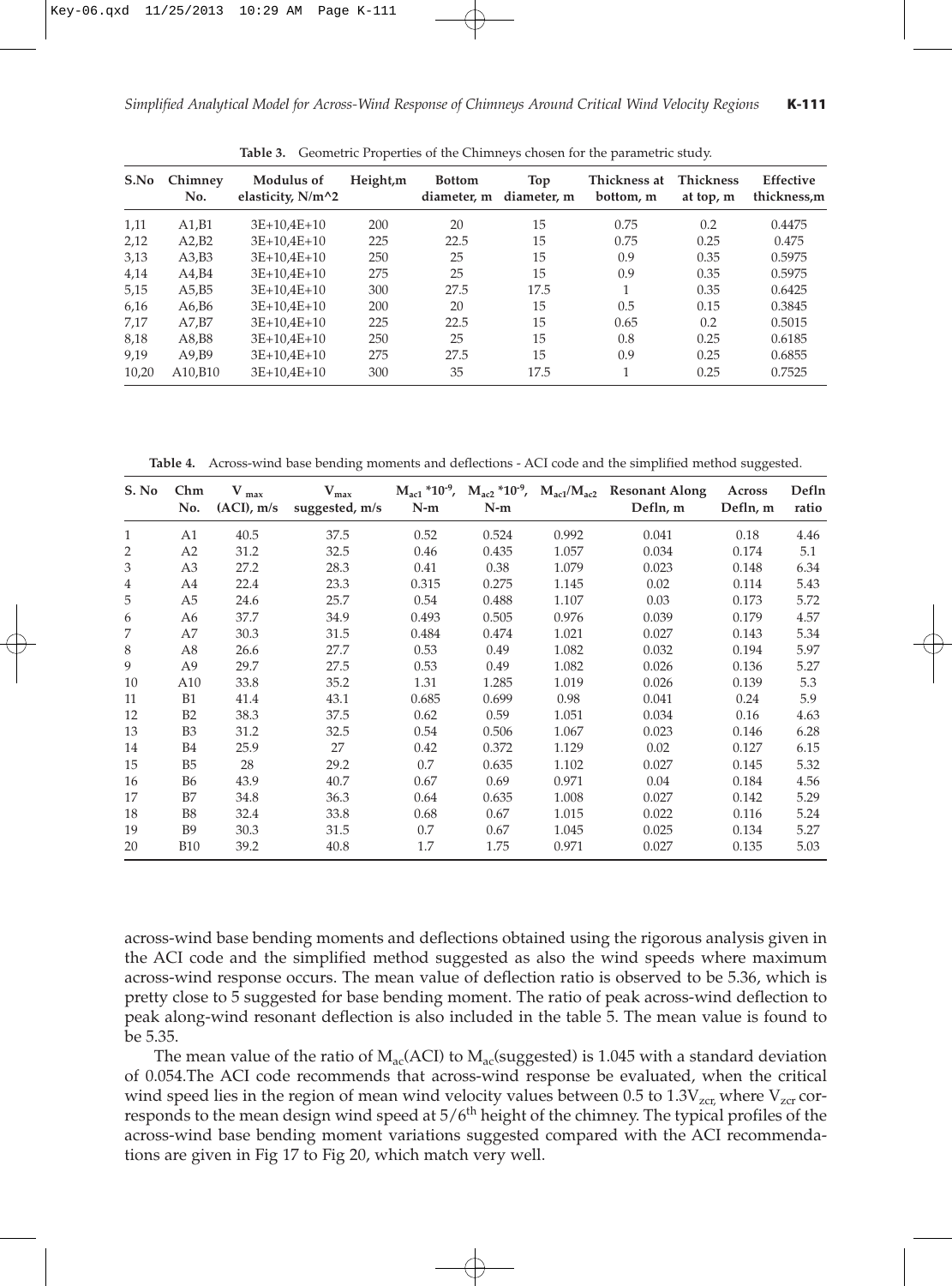| S.No  | Chimney<br>No. | Modulus of<br>elasticity, $N/m^2$ | Height,m | <b>Bottom</b><br>diameter, m | Top<br>diameter, m | Thickness at<br>bottom, m | <b>Thickness</b><br>at top, m | Effective<br>thickness,m |
|-------|----------------|-----------------------------------|----------|------------------------------|--------------------|---------------------------|-------------------------------|--------------------------|
| 1,11  | A1,B1          | $3E+10.4E+10$                     | 200      | 20                           | 15                 | 0.75                      | 0.2                           | 0.4475                   |
| 2,12  | A2.B2          | $3E+10.4E+10$                     | 225      | 22.5                         | 15                 | 0.75                      | 0.25                          | 0.475                    |
| 3,13  | A3,B3          | $3E+10.4E+10$                     | 250      | 25                           | 15                 | 0.9                       | 0.35                          | 0.5975                   |
| 4,14  | A4.B4          | $3E+10.4E+10$                     | 275      | 25                           | 15                 | 0.9                       | 0.35                          | 0.5975                   |
| 5,15  | A5,B5          | $3E+10.4E+10$                     | 300      | 27.5                         | 17.5               |                           | 0.35                          | 0.6425                   |
| 6,16  | A6.B6          | $3E+10.4E+10$                     | 200      | 20                           | 15                 | 0.5                       | 0.15                          | 0.3845                   |
| 7,17  | A7.B7          | $3E+10.4E+10$                     | 225      | 22.5                         | 15                 | 0.65                      | 0.2                           | 0.5015                   |
| 8,18  | A8,B8          | $3E+10.4E+10$                     | 250      | 25                           | 15                 | 0.8                       | 0.25                          | 0.6185                   |
| 9.19  | A9.B9          | $3E+10.4E+10$                     | 275      | 27.5                         | 15                 | 0.9                       | 0.25                          | 0.6855                   |
| 10,20 | A10.B10        | $3E+10.4E+10$                     | 300      | 35                           | 17.5               |                           | 0.25                          | 0.7525                   |

**Table 3.** Geometric Properties of the Chimneys chosen for the parametric study.

**Table 4.** Across-wind base bending moments and deflections - ACI code and the simplified method suggested.

| S. No | Chm<br>No.     | $V_{max}$<br>$(ACI)$ , m/s | $V_{max}$<br>suggested, m/s | $M_{\rm ac1}$ *10 <sup>-9</sup> ,<br>$N-m$ | $M_{ac2}$ *10 <sup>-9</sup> , $M_{ac1}/M_{ac2}$<br>$N-m$ |       | <b>Resonant Along</b><br>Defln, m | Across<br>Defln, m | Defln<br>ratio |
|-------|----------------|----------------------------|-----------------------------|--------------------------------------------|----------------------------------------------------------|-------|-----------------------------------|--------------------|----------------|
| 1     | A1             | 40.5                       | 37.5                        | 0.52                                       | 0.524                                                    | 0.992 | 0.041                             | 0.18               | 4.46           |
| 2     | A2             | 31.2                       | 32.5                        | 0.46                                       | 0.435                                                    | 1.057 | 0.034                             | 0.174              | 5.1            |
| 3     | A <sub>3</sub> | 27.2                       | 28.3                        | 0.41                                       | 0.38                                                     | 1.079 | 0.023                             | 0.148              | 6.34           |
| 4     | A4             | 22.4                       | 23.3                        | 0.315                                      | 0.275                                                    | 1.145 | 0.02                              | 0.114              | 5.43           |
| 5     | A <sub>5</sub> | 24.6                       | 25.7                        | 0.54                                       | 0.488                                                    | 1.107 | 0.03                              | 0.173              | 5.72           |
| 6     | A6             | 37.7                       | 34.9                        | 0.493                                      | 0.505                                                    | 0.976 | 0.039                             | 0.179              | 4.57           |
| 7     | A7             | 30.3                       | 31.5                        | 0.484                                      | 0.474                                                    | 1.021 | 0.027                             | 0.143              | 5.34           |
| 8     | A <sub>8</sub> | 26.6                       | 27.7                        | 0.53                                       | 0.49                                                     | 1.082 | 0.032                             | 0.194              | 5.97           |
| 9     | A <sub>9</sub> | 29.7                       | 27.5                        | 0.53                                       | 0.49                                                     | 1.082 | 0.026                             | 0.136              | 5.27           |
| 10    | A10            | 33.8                       | 35.2                        | 1.31                                       | 1.285                                                    | 1.019 | 0.026                             | 0.139              | 5.3            |
| 11    | B1             | 41.4                       | 43.1                        | 0.685                                      | 0.699                                                    | 0.98  | 0.041                             | 0.24               | 5.9            |
| 12    | B2             | 38.3                       | 37.5                        | 0.62                                       | 0.59                                                     | 1.051 | 0.034                             | 0.16               | 4.63           |
| 13    | B <sub>3</sub> | 31.2                       | 32.5                        | 0.54                                       | 0.506                                                    | 1.067 | 0.023                             | 0.146              | 6.28           |
| 14    | <b>B4</b>      | 25.9                       | 27                          | 0.42                                       | 0.372                                                    | 1.129 | 0.02                              | 0.127              | 6.15           |
| 15    | B <sub>5</sub> | 28                         | 29.2                        | 0.7                                        | 0.635                                                    | 1.102 | 0.027                             | 0.145              | 5.32           |
| 16    | <b>B6</b>      | 43.9                       | 40.7                        | 0.67                                       | 0.69                                                     | 0.971 | 0.04                              | 0.184              | 4.56           |
| 17    | B7             | 34.8                       | 36.3                        | 0.64                                       | 0.635                                                    | 1.008 | 0.027                             | 0.142              | 5.29           |
| 18    | <b>B8</b>      | 32.4                       | 33.8                        | 0.68                                       | 0.67                                                     | 1.015 | 0.022                             | 0.116              | 5.24           |
| 19    | <b>B</b> 9     | 30.3                       | 31.5                        | 0.7                                        | 0.67                                                     | 1.045 | 0.025                             | 0.134              | 5.27           |
| 20    | <b>B10</b>     | 39.2                       | 40.8                        | 1.7                                        | 1.75                                                     | 0.971 | 0.027                             | 0.135              | 5.03           |

across-wind base bending moments and deflections obtained using the rigorous analysis given in the ACI code and the simplified method suggested as also the wind speeds where maximum across-wind response occurs. The mean value of deflection ratio is observed to be 5.36, which is pretty close to 5 suggested for base bending moment. The ratio of peak across-wind deflection to peak along-wind resonant deflection is also included in the table 5. The mean value is found to be 5.35.

The mean value of the ratio of  $M_{ac}(ACI)$  to  $M_{ac}(saggered)$  is 1.045 with a standard deviation of 0.054.The ACI code recommends that across-wind response be evaluated, when the critical wind speed lies in the region of mean wind velocity values between 0.5 to  $1.3V_{zcr}$  where  $V_{zcr}$  corresponds to the mean design wind speed at 5/6<sup>th</sup> height of the chimney. The typical profiles of the across-wind base bending moment variations suggested compared with the ACI recommendations are given in Fig 17 to Fig 20, which match very well.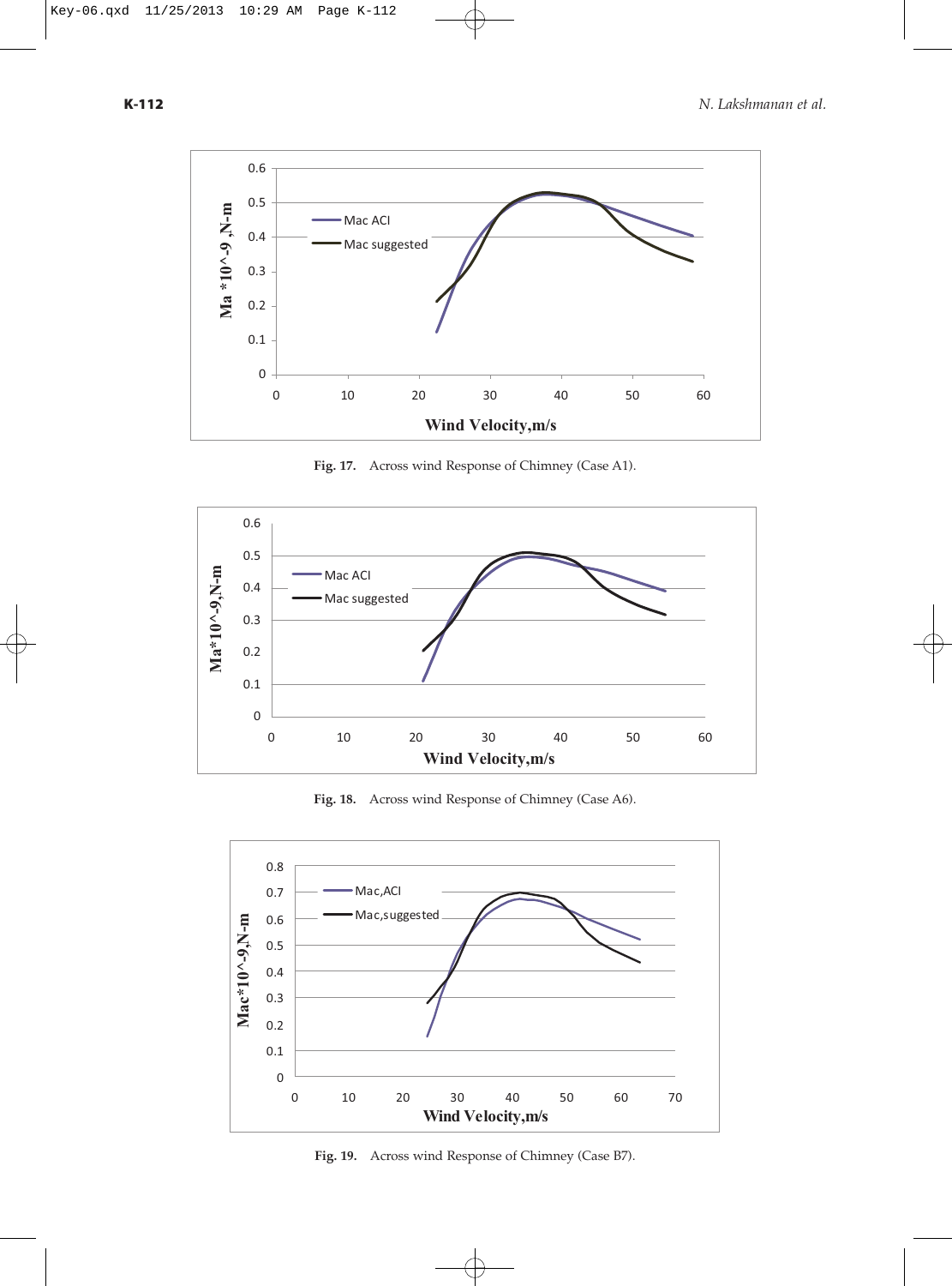

**Fig. 17.** Across wind Response of Chimney (Case A1).



**Fig. 18.** Across wind Response of Chimney (Case A6).



**Fig. 19.** Across wind Response of Chimney (Case B7).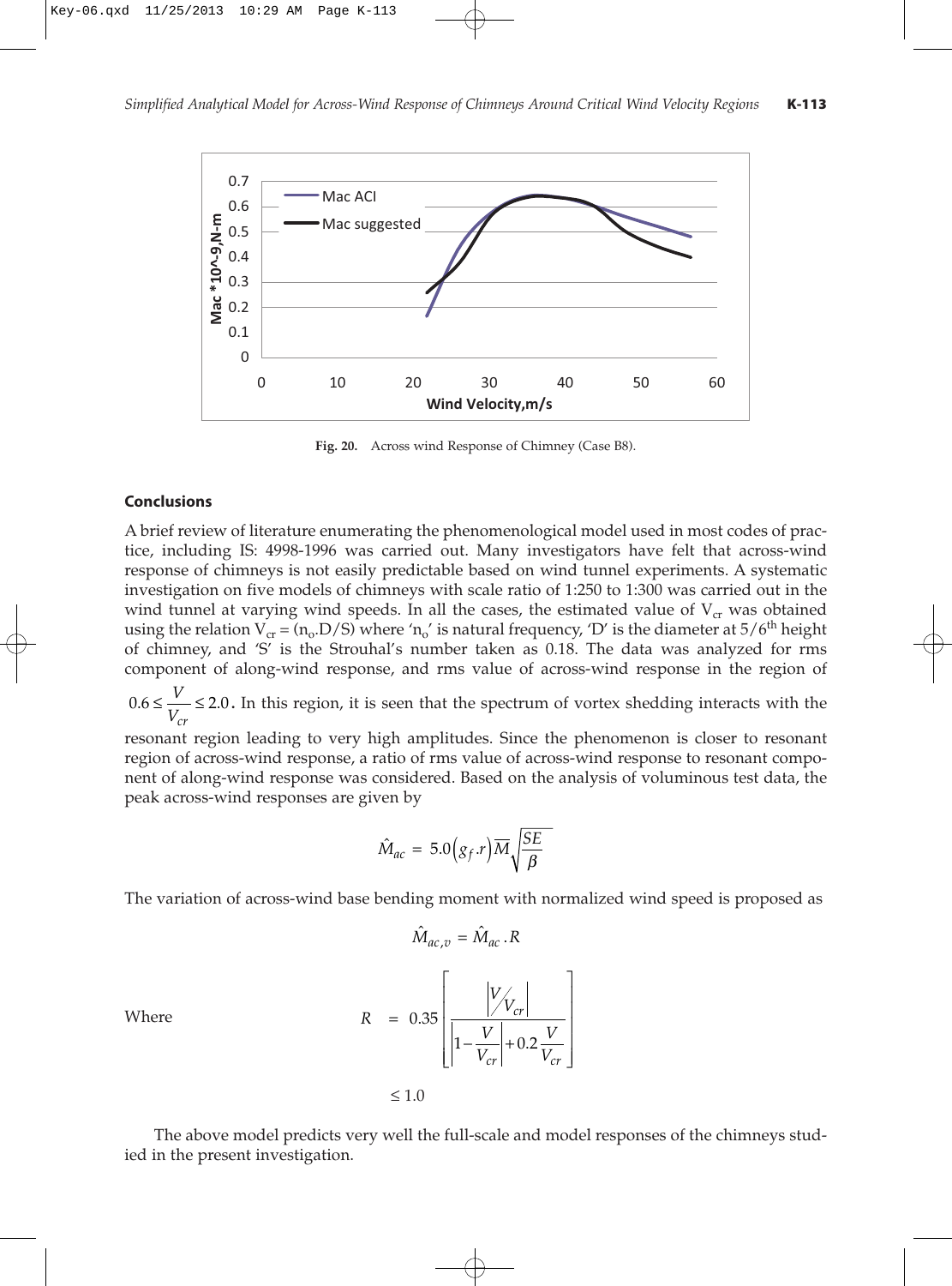

**Fig. 20.** Across wind Response of Chimney (Case B8).

#### **Conclusions**

A brief review of literature enumerating the phenomenological model used in most codes of practice, including IS: 4998-1996 was carried out. Many investigators have felt that across-wind response of chimneys is not easily predictable based on wind tunnel experiments. A systematic investigation on five models of chimneys with scale ratio of 1:250 to 1:300 was carried out in the wind tunnel at varying wind speeds. In all the cases, the estimated value of  $V_{cr}$  was obtained using the relation  $V_{cr} = (n_0.D/S)$  where ' $n_0$ ' is natural frequency, 'D' is the diameter at  $5/6<sup>th</sup>$  height of chimney, and 'S' is the Strouhal's number taken as 0.18. The data was analyzed for rms component of along-wind response, and rms value of across-wind response in the region of

 $0.6 \leq \frac{V}{V} \leq 2.0$ . In this region, it is seen that the spectrum of vortex shedding interacts with the *Vcr*

resonant region leading to very high amplitudes. Since the phenomenon is closer to resonant region of across-wind response, a ratio of rms value of across-wind response to resonant component of along-wind response was considered. Based on the analysis of voluminous test data, the peak across-wind responses are given by

$$
\hat{M}_{ac} = 5.0(g_f.r)\overline{M}\sqrt{\frac{SE}{\beta}}
$$

The variation of across-wind base bending moment with normalized wind speed is proposed as

 $\hat{M} = \hat{M} R$ 

$$
R = 0.35 \left[ \frac{|V_{V_{cr}}|}{|1 - \frac{V}{V_{cr}}| + 0.2 \frac{V}{V_{cr}}} \right]
$$

Where

$$
\leq 1.0
$$

The above model predicts very well the full-scale and model responses of the chimneys studied in the present investigation.